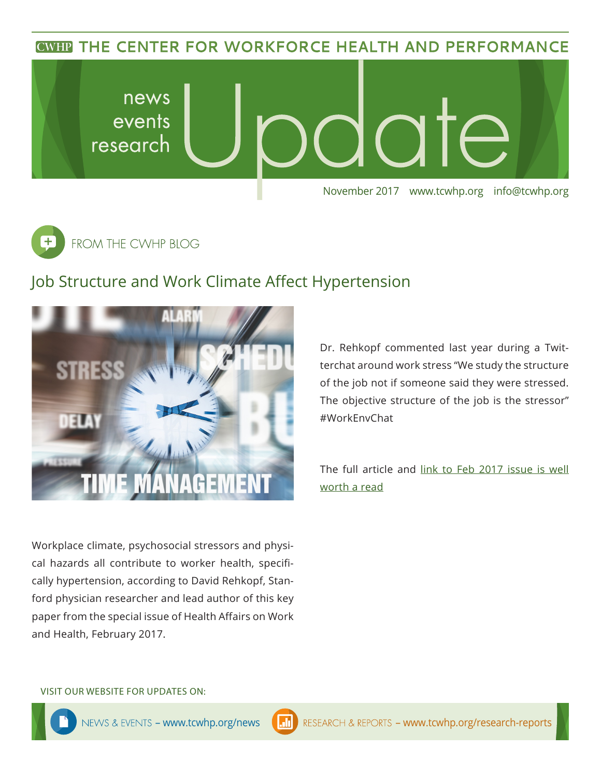**CWHP THE CENTER FOR WORKFORCE HEALTH AND PERFORMANCE** 





## Job Structure and Work Climate Affect Hypertension



Dr. Rehkopf commented last year during a Twitterchat around work stress "We study the structure of the job not if someone said they were stressed. The objective structure of the job is the stressor" #WorkEnvChat

The full article and [link to Feb 2017 issue is well](https://www.healthaffairs.org/toc/hlthaff/36/2)  [worth a read](https://www.healthaffairs.org/toc/hlthaff/36/2)

Workplace climate, psychosocial stressors and physical hazards all contribute to worker health, specifically hypertension, according to David Rehkopf, Stanford physician researcher and lead author of this key paper from the special issue of Health Affairs on Work and Health, February 2017.

#### VISIT OUR WEBSITE FOR UPDATES ON: